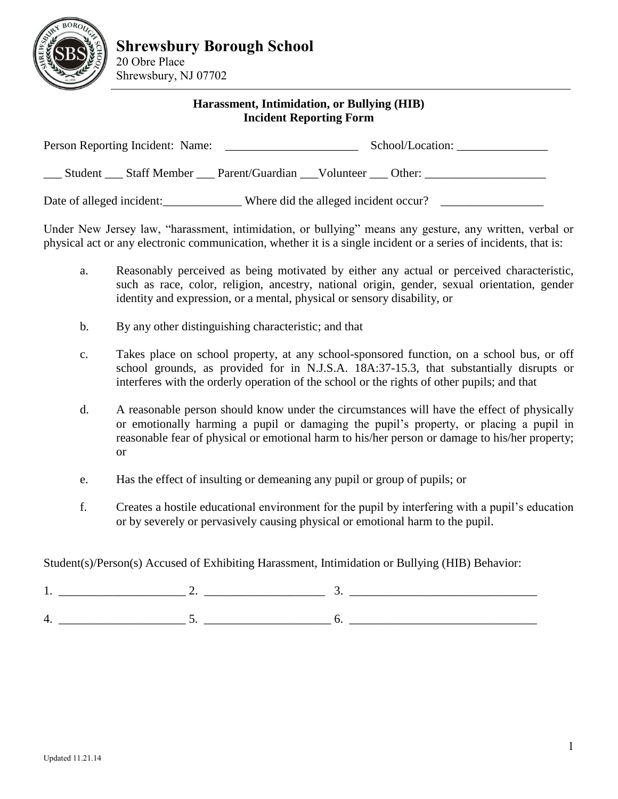

20 Obre Place Shrewsbury, NJ 07702

## **Harassment, Intimidation, or Bullying (HIB) Incident Reporting Form**

| Person Reporting Incident: Name:<br><u> The Communication of the Communication of the Communication of the Communication of the Communication of the Communication of the Communication of the Communication of the Communication of the Communication of the Commun</u> |  |                                                | School/Location: |        |
|--------------------------------------------------------------------------------------------------------------------------------------------------------------------------------------------------------------------------------------------------------------------------|--|------------------------------------------------|------------------|--------|
|                                                                                                                                                                                                                                                                          |  | Student Staff Member Parent/Guardian Volunteer |                  | Other: |
| Date of alleged incident:                                                                                                                                                                                                                                                |  | Where did the alleged incident occur?          |                  |        |

Under New Jersey law, "harassment, intimidation, or bullying" means any gesture, any written, verbal or physical act or any electronic communication, whether it is a single incident or a series of incidents, that is:

- a. Reasonably perceived as being motivated by either any actual or perceived characteristic, such as race, color, religion, ancestry, national origin, gender, sexual orientation, gender identity and expression, or a mental, physical or sensory disability, or
- b. By any other distinguishing characteristic; and that
- c. Takes place on school property, at any school-sponsored function, on a school bus, or off school grounds, as provided for in N.J.S.A. 18A:37-15.3, that substantially disrupts or interferes with the orderly operation of the school or the rights of other pupils; and that
- d. A reasonable person should know under the circumstances will have the effect of physically or emotionally harming a pupil or damaging the pupil's property, or placing a pupil in reasonable fear of physical or emotional harm to his/her person or damage to his/her property; or
- e. Has the effect of insulting or demeaning any pupil or group of pupils; or
- f. Creates a hostile educational environment for the pupil by interfering with a pupil's education or by severely or pervasively causing physical or emotional harm to the pupil.

Student(s)/Person(s) Accused of Exhibiting Harassment, Intimidation or Bullying (HIB) Behavior: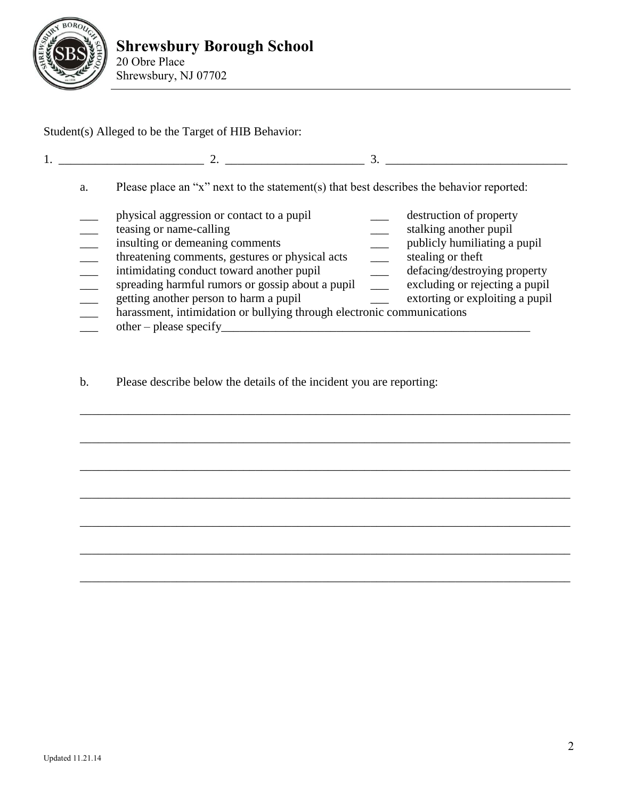

Student(s) Alleged to be the Target of HIB Behavior:

|    | $\mathcal{D}_{\mathcal{L}}$                                                                                                                                                                                                                                                                                                                                                                                 |                                                                                                                                                                                                             |
|----|-------------------------------------------------------------------------------------------------------------------------------------------------------------------------------------------------------------------------------------------------------------------------------------------------------------------------------------------------------------------------------------------------------------|-------------------------------------------------------------------------------------------------------------------------------------------------------------------------------------------------------------|
| a. | Please place an "x" next to the statement(s) that best describes the behavior reported:                                                                                                                                                                                                                                                                                                                     |                                                                                                                                                                                                             |
|    | physical aggression or contact to a pupil<br>teasing or name-calling<br>insulting or demeaning comments<br>threatening comments, gestures or physical acts<br>intimidating conduct toward another pupil<br>spreading harmful rumors or gossip about a pupil<br>getting another person to harm a pupil<br>harassment, intimidation or bullying through electronic communications<br>$other - please specify$ | destruction of property<br>stalking another pupil<br>publicly humiliating a pupil<br>stealing or theft<br>defacing/destroying property<br>excluding or rejecting a pupil<br>extorting or exploiting a pupil |

\_\_\_\_\_\_\_\_\_\_\_\_\_\_\_\_\_\_\_\_\_\_\_\_\_\_\_\_\_\_\_\_\_\_\_\_\_\_\_\_\_\_\_\_\_\_\_\_\_\_\_\_\_\_\_\_\_\_\_\_\_\_\_\_\_\_\_\_\_\_\_\_\_\_\_\_\_\_\_\_\_

\_\_\_\_\_\_\_\_\_\_\_\_\_\_\_\_\_\_\_\_\_\_\_\_\_\_\_\_\_\_\_\_\_\_\_\_\_\_\_\_\_\_\_\_\_\_\_\_\_\_\_\_\_\_\_\_\_\_\_\_\_\_\_\_\_\_\_\_\_\_\_\_\_\_\_\_\_\_\_\_\_

\_\_\_\_\_\_\_\_\_\_\_\_\_\_\_\_\_\_\_\_\_\_\_\_\_\_\_\_\_\_\_\_\_\_\_\_\_\_\_\_\_\_\_\_\_\_\_\_\_\_\_\_\_\_\_\_\_\_\_\_\_\_\_\_\_\_\_\_\_\_\_\_\_\_\_\_\_\_\_\_\_

\_\_\_\_\_\_\_\_\_\_\_\_\_\_\_\_\_\_\_\_\_\_\_\_\_\_\_\_\_\_\_\_\_\_\_\_\_\_\_\_\_\_\_\_\_\_\_\_\_\_\_\_\_\_\_\_\_\_\_\_\_\_\_\_\_\_\_\_\_\_\_\_\_\_\_\_\_\_\_\_\_

\_\_\_\_\_\_\_\_\_\_\_\_\_\_\_\_\_\_\_\_\_\_\_\_\_\_\_\_\_\_\_\_\_\_\_\_\_\_\_\_\_\_\_\_\_\_\_\_\_\_\_\_\_\_\_\_\_\_\_\_\_\_\_\_\_\_\_\_\_\_\_\_\_\_\_\_\_\_\_\_\_

\_\_\_\_\_\_\_\_\_\_\_\_\_\_\_\_\_\_\_\_\_\_\_\_\_\_\_\_\_\_\_\_\_\_\_\_\_\_\_\_\_\_\_\_\_\_\_\_\_\_\_\_\_\_\_\_\_\_\_\_\_\_\_\_\_\_\_\_\_\_\_\_\_\_\_\_\_\_\_\_\_

\_\_\_\_\_\_\_\_\_\_\_\_\_\_\_\_\_\_\_\_\_\_\_\_\_\_\_\_\_\_\_\_\_\_\_\_\_\_\_\_\_\_\_\_\_\_\_\_\_\_\_\_\_\_\_\_\_\_\_\_\_\_\_\_\_\_\_\_\_\_\_\_\_\_\_\_\_\_\_\_\_

b. Please describe below the details of the incident you are reporting: